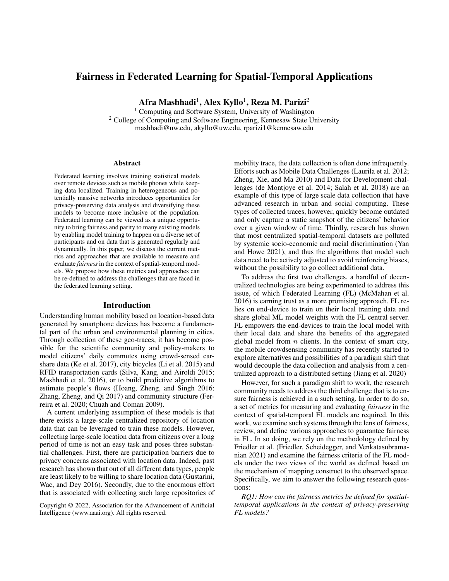# Fairness in Federated Learning for Spatial-Temporal Applications

Afra Mashhadi $^1$ , Alex Kyllo $^1$ , Reza M. Parizi $^2$ 

<sup>1</sup> Computing and Software System, University of Washington <sup>2</sup> College of Computing and Software Engineering, Kennesaw State University mashhadi@uw.edu, akyllo@uw.edu, rparizi1@kennesaw.edu

#### **Abstract**

Federated learning involves training statistical models over remote devices such as mobile phones while keeping data localized. Training in heterogeneous and potentially massive networks introduces opportunities for privacy-preserving data analysis and diversifying these models to become more inclusive of the population. Federated learning can be viewed as a unique opportunity to bring fairness and parity to many existing models by enabling model training to happen on a diverse set of participants and on data that is generated regularly and dynamically. In this paper, we discuss the current metrics and approaches that are available to measure and evaluate *fairness*in the context of spatial-temporal models. We propose how these metrics and approaches can be re-defined to address the challenges that are faced in the federated learning setting.

#### Introduction

Understanding human mobility based on location-based data generated by smartphone devices has become a fundamental part of the urban and environmental planning in cities. Through collection of these geo-traces, it has become possible for the scientific community and policy-makers to model citizens' daily commutes using crowd-sensed carshare data (Ke et al. 2017), city bicycles (Li et al. 2015) and RFID transportation cards (Silva, Kang, and Airoldi 2015; Mashhadi et al. 2016), or to build predictive algorithms to estimate people's flows (Hoang, Zheng, and Singh 2016; Zhang, Zheng, and Qi 2017) and community structure (Ferreira et al. 2020; Chuah and Coman 2009).

A current underlying assumption of these models is that there exists a large-scale centralized repository of location data that can be leveraged to train these models. However, collecting large-scale location data from citizens over a long period of time is not an easy task and poses three substantial challenges. First, there are participation barriers due to privacy concerns associated with location data. Indeed, past research has shown that out of all different data types, people are least likely to be willing to share location data (Gustarini, Wac, and Dey 2016). Secondly, due to the enormous effort that is associated with collecting such large repositories of mobility trace, the data collection is often done infrequently. Efforts such as Mobile Data Challenges (Laurila et al. 2012; Zheng, Xie, and Ma 2010) and Data for Development challenges (de Montjoye et al. 2014; Salah et al. 2018) are an example of this type of large scale data collection that have advanced research in urban and social computing. These types of collected traces, however, quickly become outdated and only capture a static snapshot of the citizens' behavior over a given window of time. Thirdly, research has shown that most centralized spatial-temporal datasets are polluted by systemic socio-economic and racial discrimination (Yan and Howe 2021), and thus the algorithms that model such data need to be actively adjusted to avoid reinforcing biases, without the possibility to go collect additional data.

To address the first two challenges, a handful of decentralized technologies are being experimented to address this issue, of which Federated Learning (FL) (McMahan et al. 2016) is earning trust as a more promising approach. FL relies on end-device to train on their local training data and share global ML model weights with the FL central server. FL empowers the end-devices to train the local model with their local data and share the benefits of the aggregated global model from  $n$  clients. In the context of smart city, the mobile crowdsensing community has recently started to explore alternatives and possibilities of a paradigm shift that would decouple the data collection and analysis from a centralized approach to a distributed setting (Jiang et al. 2020)

However, for such a paradigm shift to work, the research community needs to address the third challenge that is to ensure fairness is achieved in a such setting. In order to do so, a set of metrics for measuring and evaluating *fairness* in the context of spatial-temporal FL models are required. In this work, we examine such systems through the lens of fairness, review, and define various approaches to guarantee fairness in FL. In so doing, we rely on the methodology defined by Friedler et al. (Friedler, Scheidegger, and Venkatasubramanian 2021) and examine the fairness criteria of the FL models under the two views of the world as defined based on the mechanism of mapping construct to the observed space. Specifically, we aim to answer the following research questions:

*RQ1: How can the fairness metrics be defined for spatialtemporal applications in the context of privacy-preserving FL models?*

Copyright © 2022, Association for the Advancement of Artificial Intelligence (www.aaai.org). All rights reserved.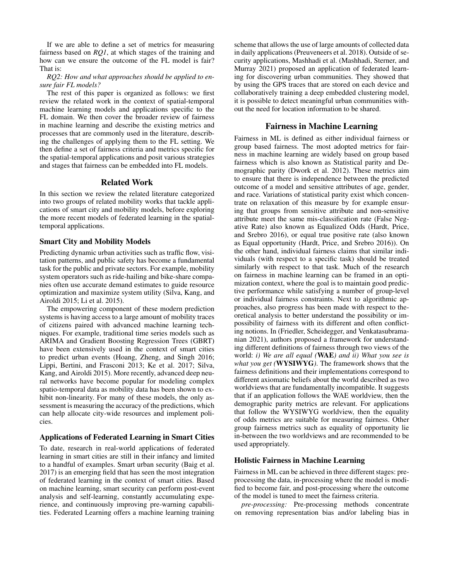If we are able to define a set of metrics for measuring fairness based on *RQ1*, at which stages of the training and how can we ensure the outcome of the FL model is fair? That is:

*RQ2: How and what approaches should be applied to ensure fair FL models?*

The rest of this paper is organized as follows: we first review the related work in the context of spatial-temporal machine learning models and applications specific to the FL domain. We then cover the broader review of fairness in machine learning and describe the existing metrics and processes that are commonly used in the literature, describing the challenges of applying them to the FL setting. We then define a set of fairness criteria and metrics specific for the spatial-temporal applications and posit various strategies and stages that fairness can be embedded into FL models.

#### Related Work

In this section we review the related literature categorized into two groups of related mobility works that tackle applications of smart city and mobility models, before exploring the more recent models of federated learning in the spatialtemporal applications.

## Smart City and Mobility Models

Predicting dynamic urban activities such as traffic flow, visitation patterns, and public safety has become a fundamental task for the public and private sectors. For example, mobility system operators such as ride-hailing and bike-share companies often use accurate demand estimates to guide resource optimization and maximize system utility (Silva, Kang, and Airoldi 2015; Li et al. 2015).

The empowering component of these modern prediction systems is having access to a large amount of mobility traces of citizens paired with advanced machine learning techniques. For example, traditional time series models such as ARIMA and Gradient Boosting Regression Trees (GBRT) have been extensively used in the context of smart cities to predict urban events (Hoang, Zheng, and Singh 2016; Lippi, Bertini, and Frasconi 2013; Ke et al. 2017; Silva, Kang, and Airoldi 2015). More recently, advanced deep neural networks have become popular for modeling complex spatio-temporal data as mobility data has been shown to exhibit non-linearity. For many of these models, the only assessment is measuring the accuracy of the predictions, which can help allocate city-wide resources and implement policies.

#### Applications of Federated Learning in Smart Cities

To date, research in real-world applications of federated learning in smart cities are still in their infancy and limited to a handful of examples. Smart urban security (Baig et al. 2017) is an emerging field that has seen the most integration of federated learning in the context of smart cities. Based on machine learning, smart security can perform post-event analysis and self-learning, constantly accumulating experience, and continuously improving pre-warning capabilities. Federated Learning offers a machine learning training

scheme that allows the use of large amounts of collected data in daily applications (Preuveneers et al. 2018). Outside of security applications, Mashhadi et al. (Mashhadi, Sterner, and Murray 2021) proposed an application of federated learning for discovering urban communities. They showed that by using the GPS traces that are stored on each device and collaboratively training a deep embedded clustering model, it is possible to detect meaningful urban communities without the need for location information to be shared.

### Fairness in Machine Learning

Fairness in ML is defined as either individual fairness or group based fairness. The most adopted metrics for fairness in machine learning are widely based on group based fairness which is also known as Statistical parity and Demographic parity (Dwork et al. 2012). These metrics aim to ensure that there is independence between the predicted outcome of a model and sensitive attributes of age, gender, and race. Variations of statistical parity exist which concentrate on relaxation of this measure by for example ensuring that groups from sensitive attribute and non-sensitive attribute meet the same mis-classification rate (False Negative Rate) also known as Equalized Odds (Hardt, Price, and Srebro 2016), or equal true positive rate (also known as Equal opportunity (Hardt, Price, and Srebro 2016)). On the other hand, individual fairness claims that similar individuals (with respect to a specific task) should be treated similarly with respect to that task. Much of the research on fairness in machine learning can be framed in an optimization context, where the goal is to maintain good predictive performance while satisfying a number of group-level or individual fairness constraints. Next to algorithmic approaches, also progress has been made with respect to theoretical analysis to better understand the possibility or impossibility of fairness with its different and often conflicting notions. In (Friedler, Scheidegger, and Venkatasubramanian 2021), authors proposed a framework for understanding different definitions of fairness through two views of the world: *i) We are all equal (*WAE*) and ii) What you see is what you get (*WYSIWYG*)*. The framework shows that the fairness definitions and their implementations correspond to different axiomatic beliefs about the world described as two worldviews that are fundamentally incompatible. It suggests that if an application follows the WAE worldview, then the demographic parity metrics are relevant. For applications that follow the WYSIWYG worldview, then the equality of odds metrics are suitable for measuring fairness. Other group fairness metrics such as equality of opportunity lie in-between the two worldviews and are recommended to be used appropriately.

## Holistic Fairness in Machine Learning

Fairness in ML can be achieved in three different stages: preprocessing the data, in-processing where the model is modified to become fair, and post-processing where the outcome of the model is tuned to meet the fairness criteria.

*pre-processing:* Pre-processing methods concentrate on removing representation bias and/or labeling bias in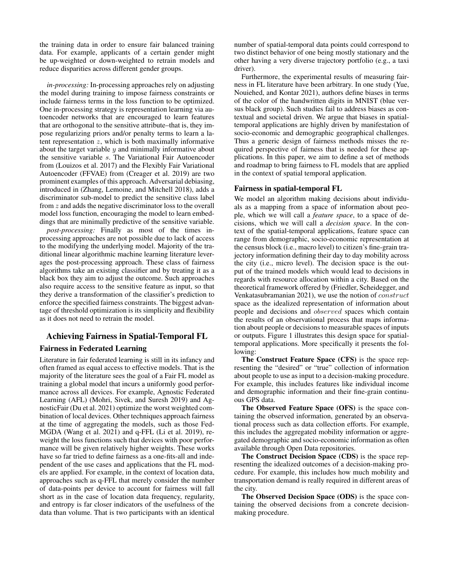the training data in order to ensure fair balanced training data. For example, applicants of a certain gender might be up-weighted or down-weighted to retrain models and reduce disparities across different gender groups.

*in-processing:* In-processing approaches rely on adjusting the model during training to impose fairness constraints or include fairness terms in the loss function to be optimized. One in-processing strategy is representation learning via autoencoder networks that are encouraged to learn features that are orthogonal to the sensitive attribute–that is, they impose regularizing priors and/or penalty terms to learn a latent representation  $z$ , which is both maximally informative about the target variable  $y$  and minimally informative about the sensitive variable s. The Variational Fair Autoencoder from (Louizos et al. 2017) and the Flexibly Fair Variational Autoencoder (FFVAE) from (Creager et al. 2019) are two prominent examples of this approach. Adversarial debiasing, introduced in (Zhang, Lemoine, and Mitchell 2018), adds a discriminator sub-model to predict the sensitive class label from z and adds the negative discriminator loss to the overall model loss function, encouraging the model to learn embeddings that are minimally predictive of the sensitive variable.

*post-processing:* Finally as most of the times inprocessing approaches are not possible due to lack of access to the modifying the underlying model. Majority of the traditional linear algorithmic machine learning literature leverages the post-processing approach. These class of fairness algorithms take an existing classifier and by treating it as a black box they aim to adjust the outcome. Such approaches also require access to the sensitive feature as input, so that they derive a transformation of the classifier's prediction to enforce the specified fairness constraints. The biggest advantage of threshold optimization is its simplicity and flexibility as it does not need to retrain the model.

# Achieving Fairness in Spatial-Temporal FL

## Fairness in Federated Learning

Literature in fair federated learning is still in its infancy and often framed as equal access to effective models. That is the majority of the literature sees the goal of a Fair FL model as training a global model that incurs a uniformly good performance across all devices. For example, Agnostic Federated Learning (AFL) (Mohri, Sivek, and Suresh 2019) and AgnosticFair (Du et al. 2021) optimize the worst weighted combination of local devices. Other techniques approach fairness at the time of aggregating the models, such as those Fed-MGDA (Wang et al. 2021) and q-FFL (Li et al. 2019), reweight the loss functions such that devices with poor performance will be given relatively higher weights. These works have so far tried to define fairness as a one-fits-all and independent of the use cases and applications that the FL models are applied. For example, in the context of location data, approaches such as q-FFL that merely consider the number of data-points per device to account for fairness will fall short as in the case of location data frequency, regularity, and entropy is far closer indicators of the usefulness of the data than volume. That is two participants with an identical

number of spatial-temporal data points could correspond to two distinct behavior of one being mostly stationary and the other having a very diverse trajectory portfolio (e.g., a taxi driver).

Furthermore, the experimental results of measuring fairness in FL literature have been arbitrary. In one study (Yue, Nouiehed, and Kontar 2021), authors define biases in terms of the color of the handwritten digits in MNIST (blue versus black group). Such studies fail to address biases as contextual and societal driven. We argue that biases in spatialtemporal applications are highly driven by manifestation of socio-economic and demographic geographical challenges. Thus a generic design of fairness methods misses the required perspective of fairness that is needed for these applications. In this paper, we aim to define a set of methods and roadmap to bring fairness to FL models that are applied in the context of spatial temporal application.

### Fairness in spatial-temporal FL

We model an algorithm making decisions about individuals as a mapping from a space of information about people, which we will call a *feature space*, to a space of decisions, which we will call a *decision space*. In the context of the spatial-temporal applications, feature space can range from demographic, socio-economic representation at the census block (i.e., macro level) to citizen's fine-grain trajectory information defining their day to day mobility across the city (i.e., micro level). The decision space is the output of the trained models which would lead to decisions in regards with resource allocation within a city. Based on the theoretical framework offered by (Friedler, Scheidegger, and Venkatasubramanian 2021), we use the notion of construct space as the idealized representation of information about people and decisions and observed spaces which contain the results of an observational process that maps information about people or decisions to measurable spaces of inputs or outputs. Figure 1 illustrates this design space for spatialtemporal applications. More specifically it presents the following:

The Construct Feature Space (CFS) is the space representing the "desired" or "true" collection of information about people to use as input to a decision-making procedure. For example, this includes features like individual income and demographic information and their fine-grain continuous GPS data.

The Observed Feature Space (OFS) is the space containing the observed information, generated by an observational process such as data collection efforts. For example, this includes the aggregated mobility information or aggregated demographic and socio-economic information as often available through Open Data repositories.

The Construct Decision Space (CDS) is the space representing the idealized outcomes of a decision-making procedure. For example, this includes how much mobility and transportation demand is really required in different areas of the city.

The Observed Decision Space (ODS) is the space containing the observed decisions from a concrete decisionmaking procedure.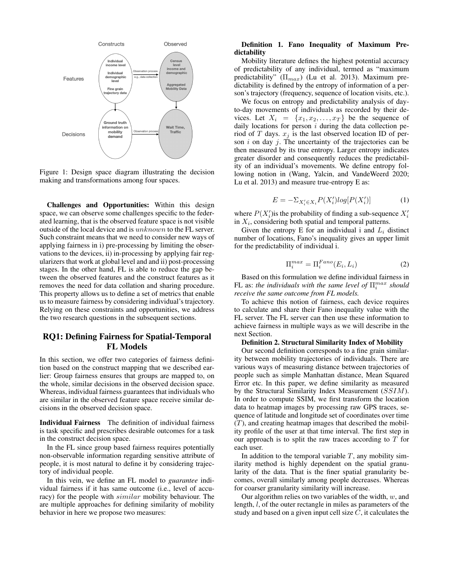

Figure 1: Design space diagram illustrating the decision making and transformations among four spaces.

Challenges and Opportunities: Within this design space, we can observe some challenges specific to the federated learning, that is the observed feature space is not visible outside of the local device and is unknown to the FL server. Such constraint means that we need to consider new ways of applying fairness in i) pre-processing by limiting the observations to the devices, ii) in-processing by applying fair regularizers that work at global level and and ii) post-processing stages. In the other hand, FL is able to reduce the gap between the observed features and the construct features as it removes the need for data collation and sharing procedure. This property allows us to define a set of metrics that enable us to measure fairness by considering individual's trajectory. Relying on these constraints and opportunities, we address the two research questions in the subsequent sections.

# RQ1: Defining Fairness for Spatial-Temporal FL Models

In this section, we offer two categories of fairness definition based on the construct mapping that we described earlier: Group fairness ensures that groups are mapped to, on the whole, similar decisions in the observed decision space. Whereas, individual fairness guarantees that individuals who are similar in the observed feature space receive similar decisions in the observed decision space.

Individual Fairness The definition of individual fairness is task specific and prescribes desirable outcomes for a task in the construct decision space.

In the FL since group based fairness requires potentially non-observable information regarding sensitive attribute of people, it is most natural to define it by considering trajectory of individual people.

In this vein, we define an FL model to *guarantee* individual fairness if it has same outcome (i.e., level of accuracy) for the people with  $similar$  mobility behaviour. The are multiple approaches for defining similarity of mobility behavior in here we propose two measures:

### Definition 1. Fano Inequality of Maximum Predictability

Mobility literature defines the highest potential accuracy of predictability of any individual, termed as "maximum predictability"  $(\Pi_{max})$  (Lu et al. 2013). Maximum predictability is defined by the entropy of information of a person's trajectory (frequency, sequence of location visits, etc.).

We focus on entropy and predictability analysis of dayto-day movements of individuals as recorded by their devices. Let  $X_i = \{x_1, x_2, \ldots, x_T\}$  be the sequence of daily locations for person  $i$  during the data collection period of T days.  $x_j$  is the last observed location ID of person  $i$  on day  $j$ . The uncertainty of the trajectories can be then measured by its true entropy. Larger entropy indicates greater disorder and consequently reduces the predictability of an individual's movements. We define entropy following notion in (Wang, Yalcin, and VandeWeerd 2020; Lu et al. 2013) and measure true-entropy E as:

$$
E = -\sum_{X_i' \in X_i} P(X_i') log[P(X_i')] \tag{1}
$$

where  $P(X'_i)$  is the probability of finding a sub-sequence  $X'_i$ in  $X_i$ , considering both spatial and temporal patterns.

Given the entropy E for an individual i and  $L_i$  distinct number of locations, Fano's inequality gives an upper limit for the predictability of individual i.

$$
\Pi_i^{max} = \Pi_i^{Fano}(E_i, L_i)
$$
 (2)

Based on this formulation we define individual fairness in FL as: *the individuals with the same level of*  $\Pi_i^{max}$  *should receive the same outcome from FL models.*

To achieve this notion of fairness, each device requires to calculate and share their Fano inequality value with the FL server. The FL server can then use these information to achieve fairness in multiple ways as we will describe in the next Section.

#### Definition 2. Structural Similarity Index of Mobility

Our second definition corresponds to a fine grain similarity between mobility trajectories of individuals. There are various ways of measuring distance between trajectories of people such as simple Manhattan distance, Mean Squared Error etc. In this paper, we define similarity as measured by the Structural Similarity Index Measurement (SSIM). In order to compute SSIM, we first transform the location data to heatmap images by processing raw GPS traces, sequence of latitude and longitude set of coordinates over time  $(T)$ , and creating heatmap images that described the mobility profile of the user at that time interval. The first step in our approach is to split the raw traces according to  $T$  for each user.

In addition to the temporal variable  $T$ , any mobility similarity method is highly dependent on the spatial granularity of the data. That is the finer spatial granularity becomes, overall similarly among people decreases. Whereas for coarser granularity similarity will increase.

Our algorithm relies on two variables of the width,  $w$ , and length, l, of the outer rectangle in miles as parameters of the study and based on a given input cell size  $C$ , it calculates the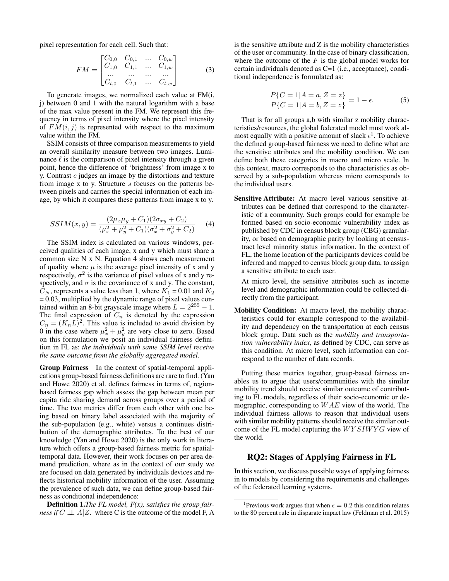pixel representation for each cell. Such that:

$$
FM = \begin{bmatrix} C_{0,0} & C_{0,1} & \dots & C_{0,w} \\ C_{1,0} & C_{1,1} & \dots & C_{1,w} \\ \dots & \dots & \dots & \dots \\ C_{l,0} & C_{l,1} & \dots & C_{l,w} \end{bmatrix}
$$
 (3)

To generate images, we normalized each value at FM(i, j) between 0 and 1 with the natural logarithm with a base of the max value present in the FM. We represent this frequency in terms of pixel intensity where the pixel intensity of  $FM(i, j)$  is represented with respect to the maximum value within the FM.

SSIM consists of three comparison measurements to yield an overall similarity measure between two images. Luminance  $\ell$  is the comparison of pixel intensity through a given point, hence the difference of 'brightness' from image x to y. Contrast  $c$  judges an image by the distortions and texture from image x to y. Structure s focuses on the patterns between pixels and carries the special information of each image, by which it compares these patterns from image x to y.

$$
SSIM(x,y) = \frac{(2\mu_x \mu_y + C_1)(2\sigma_{xy} + C_2)}{(\mu_x^2 + \mu_y^2 + C_1)(\sigma_x^2 + \sigma_y^2 + C_2)}
$$
(4)

The SSIM index is calculated on various windows, perceived qualities of each image, x and y which must share a common size N x N. Equation 4 shows each measurement of quality where  $\mu$  is the average pixel intensity of x and y respectively,  $\sigma^2$  is the variance of pixel values of x and y respectively, and  $\sigma$  is the covariance of x and y. The constant,  $C_N$ , represents a value less than 1, where  $K_1 = 0.01$  and  $K_2$  $= 0.03$ , multiplied by the dynamic range of pixel values contained within an 8-bit grayscale image where  $L = 2^{255} - 1$ . The final expression of  $C_n$  is denoted by the expression  $C_n = (K_n L)^2$ . This value is included to avoid division by 0 in the case where  $\mu_x^2 + \mu_y^2$  are very close to zero. Based on this formulation we posit an individual fairness definition in FL as: *the individuals with same SSIM level receive the same outcome from the globally aggregated model.*

Group Fairness In the context of spatial-temporal applications group-based fairness definitions are rare to find. (Yan and Howe 2020) et al. defines fairness in terms of, regionbased fairness gap which assess the gap between mean per capita ride sharing demand across groups over a period of time. The two metrics differ from each other with one being based on binary label associated with the majority of the sub-population (e.g., white) versus a continues distribution of the demographic attributes. To the best of our knowledge (Yan and Howe 2020) is the only work in literature which offers a group-based fairness metric for spatialtemporal data. However, their work focuses on per area demand prediction, where as in the context of our study we are focused on data generated by individuals devices and reflects historical mobility information of the user. Assuming the prevalence of such data, we can define group-based fairness as conditional independence:

Definition 1.*The FL model, F(x), satisfies the group fairness if*  $C \perp \perp A \mid Z$ , where C is the outcome of the model F, A is the sensitive attribute and Z is the mobility characteristics of the user or community. In the case of binary classification, where the outcome of the  $F$  is the global model works for certain individuals denoted as C=1 (i.e., acceptance), conditional independence is formulated as:

$$
\frac{P\{C=1|A=a, Z=z\}}{P\{C=1|A=b, Z=z\}} = 1 - \epsilon.
$$
 (5)

That is for all groups a,b with similar z mobility characteristics/resources, the global federated model must work almost equally with a positive amount of slack  $\epsilon^1$ . To achieve the defined group-based fairness we need to define what are the sensitive attributes and the mobility condition. We can define both these categories in macro and micro scale. In this context, macro corresponds to the characteristics as observed by a sub-population whereas micro corresponds to the individual users.

Sensitive Attribute: At macro level various sensitive attributes can be defined that correspond to the characteristic of a community. Such groups could for example be formed based on socio-economic vulnerability index as published by CDC in census block group (CBG) granularity, or based on demographic parity by looking at censustract level minority status information. In the context of FL, the home location of the participants devices could be inferred and mapped to census block group data, to assign a sensitive attribute to each user.

At micro level, the sensitive attributes such as income level and demographic information could be collected directly from the participant.

Mobility Condition: At macro level, the mobility characteristics could for example correspond to the availability and dependency on the transportation at each census block group. Data such as the *mobility and transportation vulnerability index*, as defined by CDC, can serve as this condition. At micro level, such information can correspond to the number of data records.

Putting these metrics together, group-based fairness enables us to argue that users/communities with the similar mobility trend should receive similar outcome of contributing to FL models, regardless of their socio-economic or demographic, corresponding to  $WAE$  view of the world. The individual fairness allows to reason that individual users with similar mobility patterns should receive the similar outcome of the FL model capturing the  $WYSIWYG$  view of the world.

## RQ2: Stages of Applying Fairness in FL

In this section, we discuss possible ways of applying fairness in to models by considering the requirements and challenges of the federated learning systems.

<sup>&</sup>lt;sup>1</sup>Previous work argues that when  $\epsilon = 0.2$  this condition relates to the 80 percent rule in disparate impact law (Feldman et al. 2015)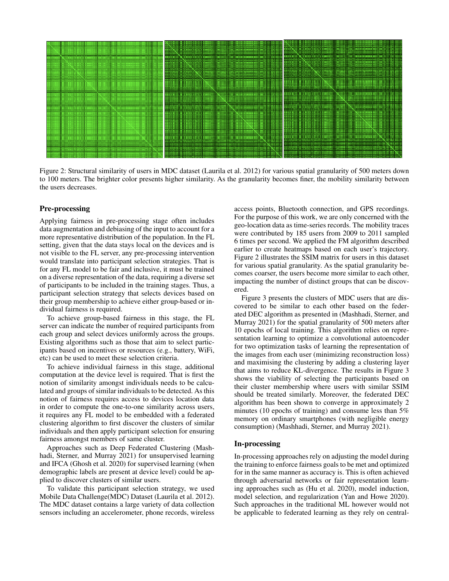

Figure 2: Structural similarity of users in MDC dataset (Laurila et al. 2012) for various spatial granularity of 500 meters down to 100 meters. The brighter color presents higher similarity. As the granularity becomes finer, the mobility similarity between the users decreases.

#### Pre-processing

Applying fairness in pre-processing stage often includes data augmentation and debiasing of the input to account for a more representative distribution of the population. In the FL setting, given that the data stays local on the devices and is not visible to the FL server, any pre-processing intervention would translate into participant selection strategies. That is for any FL model to be fair and inclusive, it must be trained on a diverse representation of the data, requiring a diverse set of participants to be included in the training stages. Thus, a participant selection strategy that selects devices based on their group membership to achieve either group-based or individual fairness is required.

To achieve group-based fairness in this stage, the FL server can indicate the number of required participants from each group and select devices uniformly across the groups. Existing algorithms such as those that aim to select participants based on incentives or resources (e.g., battery, WiFi, etc) can be used to meet these selection criteria.

To achieve individual fairness in this stage, additional computation at the device level is required. That is first the notion of similarity amongst individuals needs to be calculated and groups of similar individuals to be detected. As this notion of fairness requires access to devices location data in order to compute the one-to-one similarity across users, it requires any FL model to be embedded with a federated clustering algorithm to first discover the clusters of similar individuals and then apply participant selection for ensuring fairness amongst members of same cluster.

Approaches such as Deep Federated Clustering (Mashhadi, Sterner, and Murray 2021) for unsupervised learning and IFCA (Ghosh et al. 2020) for supervised learning (when demographic labels are present at device level) could be applied to discover clusters of similar users.

To validate this participant selection strategy, we used Mobile Data Challenge(MDC) Dataset (Laurila et al. 2012). The MDC dataset contains a large variety of data collection sensors including an accelerometer, phone records, wireless

access points, Bluetooth connection, and GPS recordings. For the purpose of this work, we are only concerned with the geo-location data as time-series records. The mobility traces were contributed by 185 users from 2009 to 2011 sampled 6 times per second. We applied the FM algorithm described earlier to create heatmaps based on each user's trajectory. Figure 2 illustrates the SSIM matrix for users in this dataset for various spatial granularity. As the spatial granularity becomes coarser, the users become more similar to each other, impacting the number of distinct groups that can be discovered.

Figure 3 presents the clusters of MDC users that are discovered to be similar to each other based on the federated DEC algorithm as presented in (Mashhadi, Sterner, and Murray 2021) for the spatial granularity of 500 meters after 10 epochs of local training. This algorithm relies on representation learning to optimize a convolutional autoencoder for two optimization tasks of learning the representation of the images from each user (minimizing reconstruction loss) and maximising the clustering by adding a clustering layer that aims to reduce KL-divergence. The results in Figure 3 shows the viability of selecting the participants based on their cluster membership where users with similar SSIM should be treated similarly. Moreover, the federated DEC algorithm has been shown to converge in approximately 2 minutes (10 epochs of training) and consume less than 5% memory on ordinary smartphones (with negligible energy consumption) (Mashhadi, Sterner, and Murray 2021).

# In-processing

In-processing approaches rely on adjusting the model during the training to enforce fairness goals to be met and optimized for in the same manner as accuracy is. This is often achieved through adversarial networks or fair representation learning approaches such as (Hu et al. 2020), model induction, model selection, and regularization (Yan and Howe 2020). Such approaches in the traditional ML however would not be applicable to federated learning as they rely on central-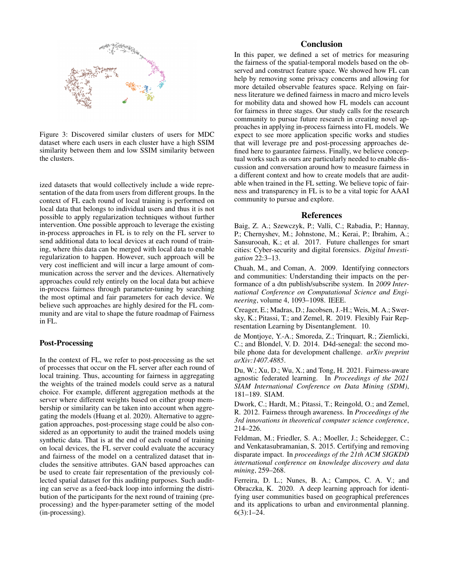

Figure 3: Discovered similar clusters of users for MDC dataset where each users in each cluster have a high SSIM similarity between them and low SSIM similarity between the clusters.

ized datasets that would collectively include a wide representation of the data from users from different groups. In the context of FL each round of local training is performed on local data that belongs to individual users and thus it is not possible to apply regularization techniques without further intervention. One possible approach to leverage the existing in-process approaches in FL is to rely on the FL server to send additional data to local devices at each round of training, where this data can be merged with local data to enable regularization to happen. However, such approach will be very cost inefficient and will incur a large amount of communication across the server and the devices. Alternatively approaches could rely entirely on the local data but achieve in-process fairness through parameter-tuning by searching the most optimal and fair parameters for each device. We believe such approaches are highly desired for the FL community and are vital to shape the future roadmap of Fairness in FL.

### Post-Processing

In the context of FL, we refer to post-processing as the set of processes that occur on the FL server after each round of local training. Thus, accounting for fairness in aggregating the weights of the trained models could serve as a natural choice. For example, different aggregation methods at the server where different weights based on either group membership or similarity can be taken into account when aggregating the models (Huang et al. 2020). Alternative to aggregation approaches, post-processing stage could be also considered as an opportunity to audit the trained models using synthetic data. That is at the end of each round of training on local devices, the FL server could evaluate the accuracy and fairness of the model on a centralized dataset that includes the sensitive attributes. GAN based approaches can be used to create fair representation of the previously collected spatial dataset for this auditing purposes. Such auditing can serve as a feed-back loop into informing the distribution of the participants for the next round of training (preprocessing) and the hyper-parameter setting of the model (in-processing).

# Conclusion

In this paper, we defined a set of metrics for measuring the fairness of the spatial-temporal models based on the observed and construct feature space. We showed how FL can help by removing some privacy concerns and allowing for more detailed observable features space. Relying on fairness literature we defined fairness in macro and micro levels for mobility data and showed how FL models can account for fairness in three stages. Our study calls for the research community to pursue future research in creating novel approaches in applying in-process fairness into FL models. We expect to see more application specific works and studies that will leverage pre and post-processing approaches defined here to gaurantee fairness. Finally, we believe conceptual works such as ours are particularly needed to enable discussion and conversation around how to measure fairness in a different context and how to create models that are auditable when trained in the FL setting. We believe topic of fairness and transparency in FL is to be a vital topic for AAAI community to pursue and explore.

## References

Baig, Z. A.; Szewczyk, P.; Valli, C.; Rabadia, P.; Hannay, P.; Chernyshev, M.; Johnstone, M.; Kerai, P.; Ibrahim, A.; Sansurooah, K.; et al. 2017. Future challenges for smart cities: Cyber-security and digital forensics. *Digital Investigation* 22:3–13.

Chuah, M., and Coman, A. 2009. Identifying connectors and communities: Understanding their impacts on the performance of a dtn publish/subscribe system. In *2009 International Conference on Computational Science and Engineering*, volume 4, 1093–1098. IEEE.

Creager, E.; Madras, D.; Jacobsen, J.-H.; Weis, M. A.; Swersky, K.; Pitassi, T.; and Zemel, R. 2019. Flexibly Fair Representation Learning by Disentanglement. 10.

de Montjoye, Y.-A.; Smoreda, Z.; Trinquart, R.; Ziemlicki, C.; and Blondel, V. D. 2014. D4d-senegal: the second mobile phone data for development challenge. *arXiv preprint arXiv:1407.4885*.

Du, W.; Xu, D.; Wu, X.; and Tong, H. 2021. Fairness-aware agnostic federated learning. In *Proceedings of the 2021 SIAM International Conference on Data Mining (SDM)*, 181–189. SIAM.

Dwork, C.; Hardt, M.; Pitassi, T.; Reingold, O.; and Zemel, R. 2012. Fairness through awareness. In *Proceedings of the 3rd innovations in theoretical computer science conference*, 214–226.

Feldman, M.; Friedler, S. A.; Moeller, J.; Scheidegger, C.; and Venkatasubramanian, S. 2015. Certifying and removing disparate impact. In *proceedings of the 21th ACM SIGKDD international conference on knowledge discovery and data mining*, 259–268.

Ferreira, D. L.; Nunes, B. A.; Campos, C. A. V.; and Obraczka, K. 2020. A deep learning approach for identifying user communities based on geographical preferences and its applications to urban and environmental planning.  $6(3):1-24.$